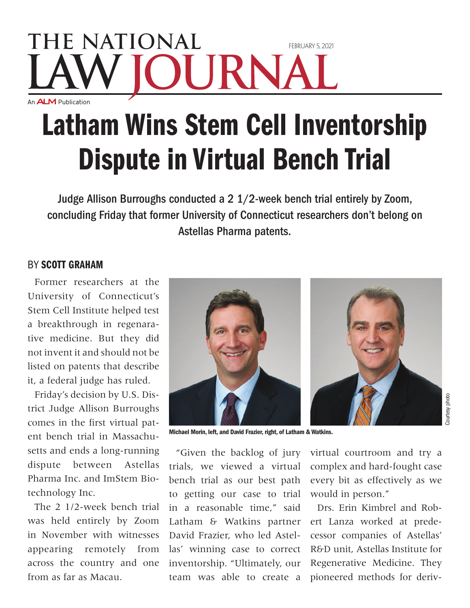## **THE NATIONAL** FFRRI JARY 5, 2021 JRNA An **ALM** Publication

## Latham Wins Stem Cell Inventorship Dispute in Virtual Bench Trial

Judge Allison Burroughs conducted a 2 1/2-week bench trial entirely by Zoom, concluding Friday that former University of Connecticut researchers don't belong on Astellas Pharma patents.

## By Scott Graham

Former researchers at the University of Connecticut's Stem Cell Institute helped test a breakthrough in regenarative medicine. But they did not invent it and should not be listed on patents that describe it, a federal judge has ruled.

Friday's decision by U.S. District Judge Allison Burroughs comes in the first virtual patent bench trial in Massachusetts and ends a long-running dispute between Astellas Pharma Inc. and ImStem Biotechnology Inc.

The 2 1/2-week bench trial was held entirely by Zoom in November with witnesses appearing remotely from across the country and one from as far as Macau.



Michael Morin, left, and David Frazier, right, of Latham & Watkins.

"Given the backlog of jury trials, we viewed a virtual bench trial as our best path to getting our case to trial in a reasonable time," said Latham & Watkins partner David Frazier, who led Astellas' winning case to correct inventorship. "Ultimately, our team was able to create a

virtual courtroom and try a complex and hard-fought case every bit as effectively as we would in person."

Drs. Erin Kimbrel and Robert Lanza worked at predecessor companies of Astellas' R&D unit, Astellas Institute for Regenerative Medicine. They pioneered methods for deriv